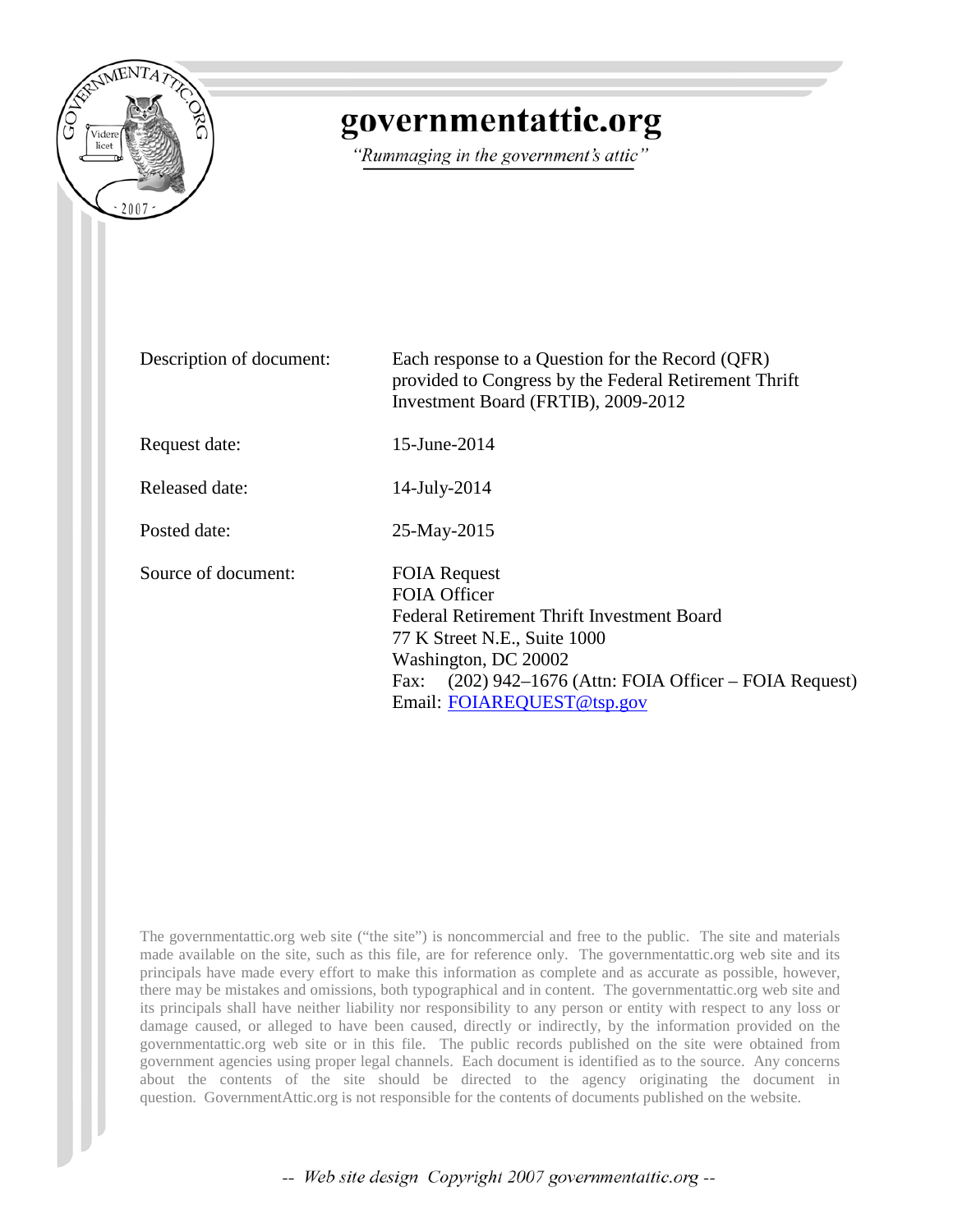

# governmentattic.org

"Rummaging in the government's attic"

| Description of document: | Each response to a Question for the Record (QFR)<br>provided to Congress by the Federal Retirement Thrift<br>Investment Board (FRTIB), 2009-2012                                                                                            |
|--------------------------|---------------------------------------------------------------------------------------------------------------------------------------------------------------------------------------------------------------------------------------------|
| Request date:            | 15-June-2014                                                                                                                                                                                                                                |
| Released date:           | 14-July-2014                                                                                                                                                                                                                                |
| Posted date:             | 25-May-2015                                                                                                                                                                                                                                 |
| Source of document:      | <b>FOIA Request</b><br><b>FOIA Officer</b><br>Federal Retirement Thrift Investment Board<br>77 K Street N.E., Suite 1000<br>Washington, DC 20002<br>Fax: $(202)$ 942–1676 (Attn: FOIA Officer – FOIA Request)<br>Email: FOIAREQUEST@tsp.gov |

The governmentattic.org web site ("the site") is noncommercial and free to the public. The site and materials made available on the site, such as this file, are for reference only. The governmentattic.org web site and its principals have made every effort to make this information as complete and as accurate as possible, however, there may be mistakes and omissions, both typographical and in content. The governmentattic.org web site and its principals shall have neither liability nor responsibility to any person or entity with respect to any loss or damage caused, or alleged to have been caused, directly or indirectly, by the information provided on the governmentattic.org web site or in this file. The public records published on the site were obtained from government agencies using proper legal channels. Each document is identified as to the source. Any concerns about the contents of the site should be directed to the agency originating the document in question. GovernmentAttic.org is not responsible for the contents of documents published on the website.

-- Web site design Copyright 2007 governmentattic.org --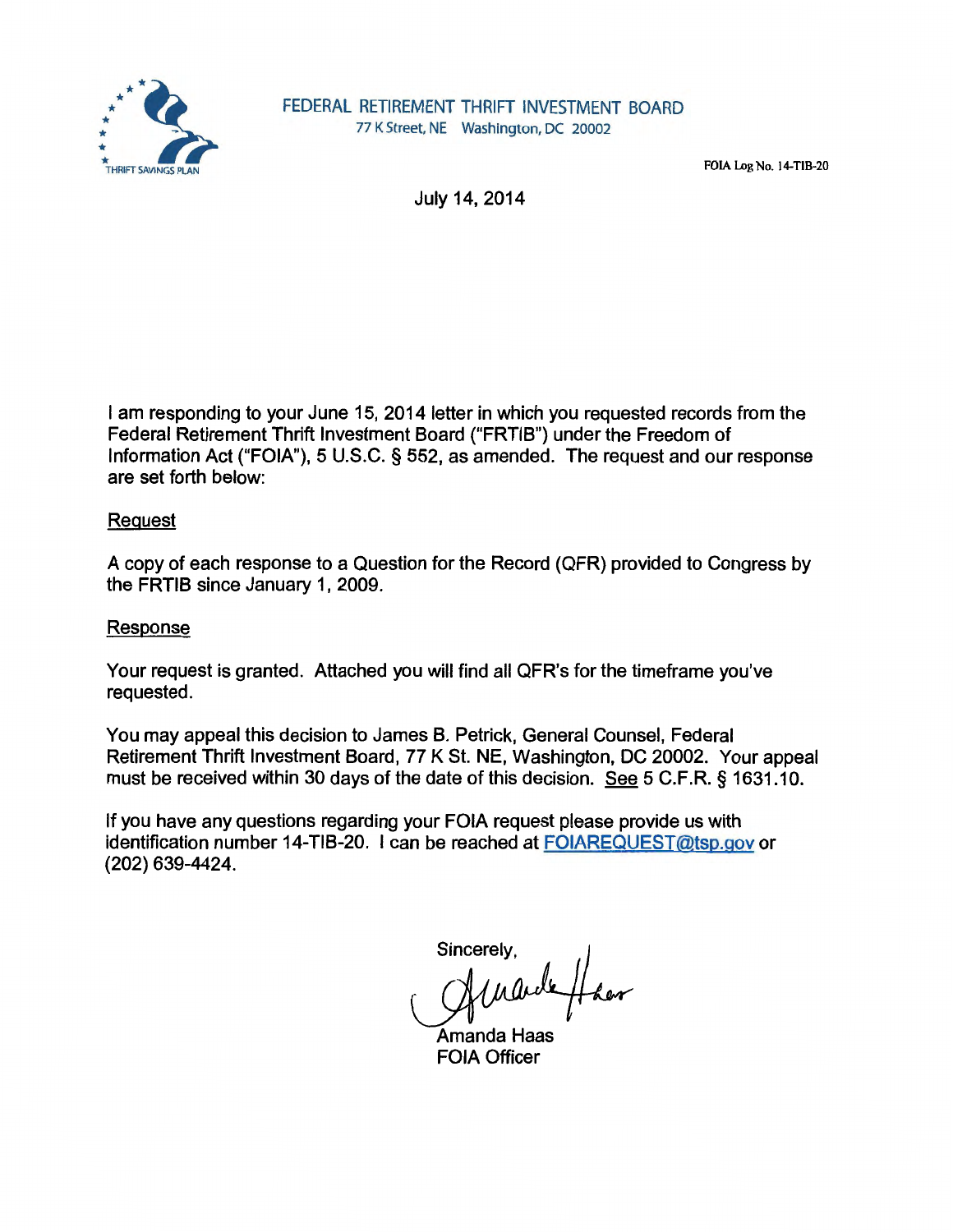

FOIA Log No. 14-TIB-20

July 14, 2014

I am responding to your June 15, 2014 letter in which you requested records from the Federal Retirement Thrift Investment Board ("FRTIB") under the Freedom of Information Act ("FOIA"), 5 U.S.C. § 552, as amended. The request and our response are set forth below:

## Request

A copy of each response to a Question for the Record (QFR) provided to Congress by the FRTIB since January 1, 2009.

## Response

Your request is granted. Attached you will find all QFR's for the timeframe you've requested.

You may appeal this decision to James B. Petrick, General Counsel, Federal Retirement Thrift Investment Board, 77 K St. NE, Washington, DC 20002. Your appeal must be received within 30 days of the date of this decision. See 5 C.F.R. § 1631.10.

If you have any questions regarding your FOIA request please provide us with identification number 14-TIB-20. I can be reached at FOIAREQUEST@tsp.gov or (202) 639-4424.

**Sincerely** 

Amanda Haas FOIA Officer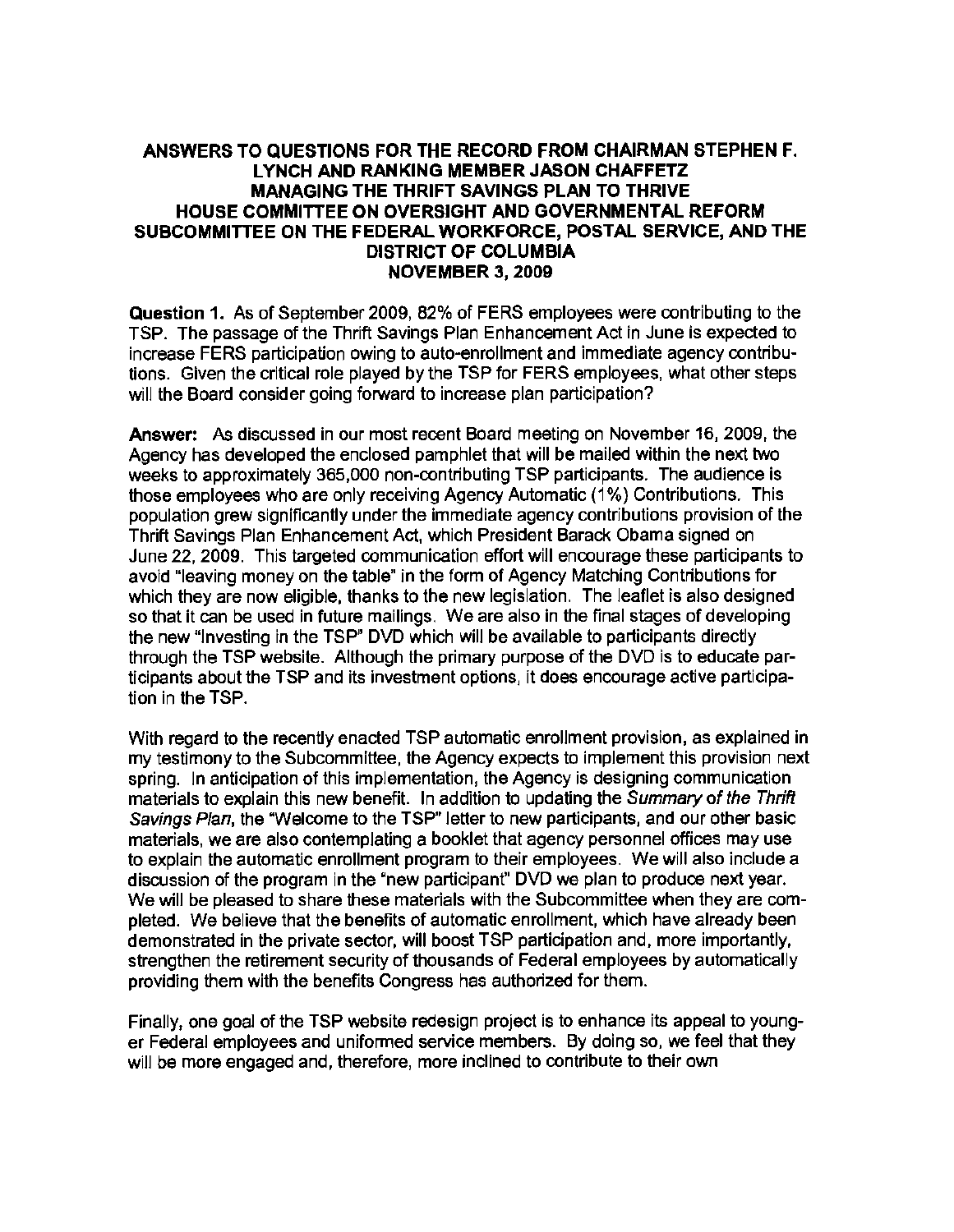#### ANSWERS TO QUESTIONS FOR THE RECORD FROM CHAIRMAN STEPHEN F. LYNCH AND RANKING MEMBER JASON CHAFFETZ MANAGING THE THRIFT SAVINGS PLAN TO THRIVE HOUSE COMMITTEE ON OVERSIGHT AND GOVERNMENTAL REFORM SUBCOMMITTEE ON THE FEDERAL WORKFORCE, POSTAL SERVICE, AND THE DISTRICT OF COLUMBIA NOVEMBER 3, 2009

Question 1. As of September 2009, 82% of FERS employees were contributing to the TSP. The passage of the Thrift Savings Plan Enhancement Act in June is expected to increase FERS participation owing to auto-enrollment and immediate agency contributions. Given the critical role played by the TSP for FERS employees, what other steps will the Board consider going forward to increase plan participation?

Answer: As discussed in our most recent Board meeting on November 16, 2009, the Agency has developed the enclosed pamphlet that will be mailed within the next two weeks to approximately 365,000 non-contributing TSP participants. The audience is those employees who are only receiving Agency Automatic (1%) Contributions. This population grew significantly under the immediate agency contributions provision of the Thrift Savings Plan Enhancement Act, which President Barack Obama signed on June 22, 2009. This targeted communication effort will encourage these participants to avoid "leaving money on the table" in the form of Agency Matching Contributions for which they are now eligible, thanks to the new legislation. The leaflet is also designed so that it can be used in future mailings. We are also in the final stages of developing the new "Investing in the TSP" DVD which will be available to participants directly through the TSP website. Although the primary purpose of the DVD is to educate participants about the TSP and its investment options, it does encourage active participation in the TSP.

With regard to the recently enacted TSP automatic enrollment provision, as explained in my testimony to the Subcommittee, the Agency expects to implement this provision next spring. In anticipation of this implementation, the Agency is designing communication materials to explain this new benefit. In addition to updating the Summary of the Thrift Savings Plan, the "Welcome to the TSP" letter to new participants, and our other basic materials, we are also contemplating a booklet that agency personnel offices may use to explain the automatic enrollment program to their employees. We will also include a discussion of the program in the "new participant" DVD we plan to produce next year. We will be pleased to share these materials with the Subcommittee when they are completed. We believe that the benefits of automatic enrollment, which have already been demonstrated in the private sector, will boost TSP participation and, more importantly, strengthen the retirement security of thousands of Federal employees by automatically providing them with the benefits Congress has authorized for them.

Finally, one goal of the TSP website redesign project is to enhance its appeal to younger Federal employees and uniformed service members. By doing so, we feel that they will be more engaged and, therefore, more inclined to contribute to their own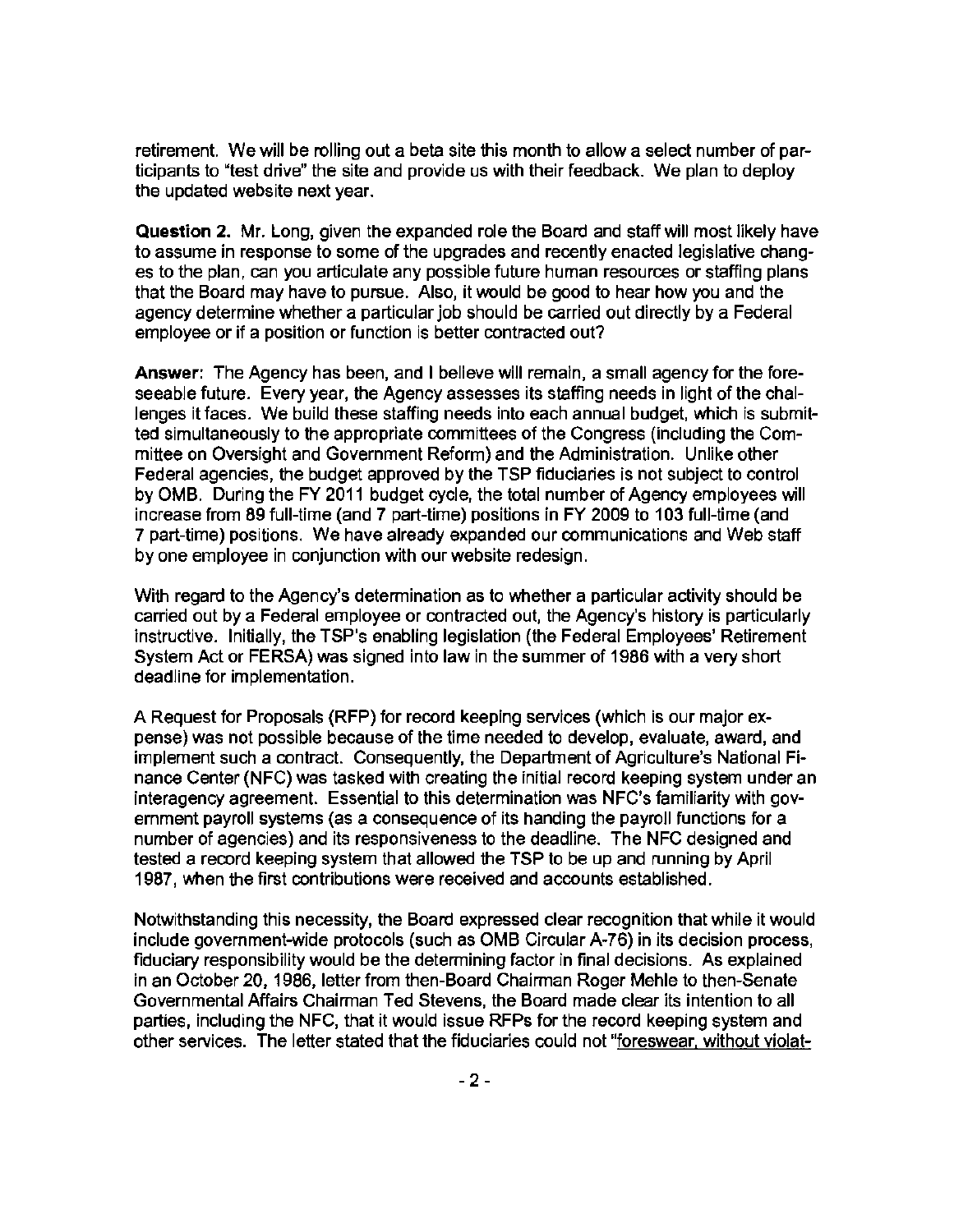retirement. We will be rolling out a beta site this month to allow a select number of participants to "test drive" the site and provide us with their feedback. We plan to deploy the updated website next year.

Question 2. Mr. Long, given the expanded role the Board and staff will most likely have to assume in response to some of the upgrades and recently enacted legislative changes to the plan, can you articulate any possible future human resources or staffing plans that the Board may have to pursue. Also, it would be good to hear how you and the agency determine whether a particular job should be carried out directly by a Federal employee or if a position or function is better contracted out?

Answer: The Agency has been, and I believe will remain, a small agency for the foreseeable future. Every year, the Agency assesses its staffing needs in light of the challenges it faces. We build these staffing needs into each annual budget, which is submitted simultaneously to the appropriate committees of the Congress (including the Committee on Oversight and Government Reform) and the Administration. Unlike other Federal agencies, the budget approved by the TSP fiduciaries is not subject to control by OMB. During the FY 2011 budget cycle, the total number of Agency employees will increase from 89 full-time (and 7 part-time) positions in FY 2009 to 103 full-time (and 7 part-time) positions. We have already expanded our communications and Web staff by one employee in conjunction with our website redesign.

With regard to the Agency's determination as to whether a particular activity should be carried out by a Federal employee or contracted out, the Agency's history is particularly instructive. Initially, the TSP's enabling legislation (the Federal Employees' Retirement System Act or FERSA) was signed into law in the summer of 1986 with a very short deadline for implementation.

A Request for Proposals (RFP) for record keeping services (which is our major expense) was not possible because of the time needed to develop, evaluate, award, and implement such a contract. Consequently, the Department of Agriculture's National Finance Center (NFC) was tasked with creating the initial record keeping system under an interagency agreement. Essential to this determination was NFC's familiarity with government payroll systems (as a consequence of its handing the payroll functions for a number of agencies) and its responsiveness to the deadline. The NFC designed and tested a record keeping system that allowed the TSP to be up and running by April 1987, when the first contributions were received and accounts established.

Notwithstanding this necessity, the Board expressed clear recognition that while it would include government-wide protocols (such as OMB Circular A-76) in its decision process, fiduciary responsibility would be the determining factor in final decisions. As explained in an October 20, 1986, letter from then-Board Chairman Roger Mehle to then-Senate Governmental Affairs Chairman Ted Stevens, the Board made clear its intention to all parties, including the NFC, that it would issue RFPs for the record keeping system and other services. The letter stated that the fiduciaries could not "foreswear. without violat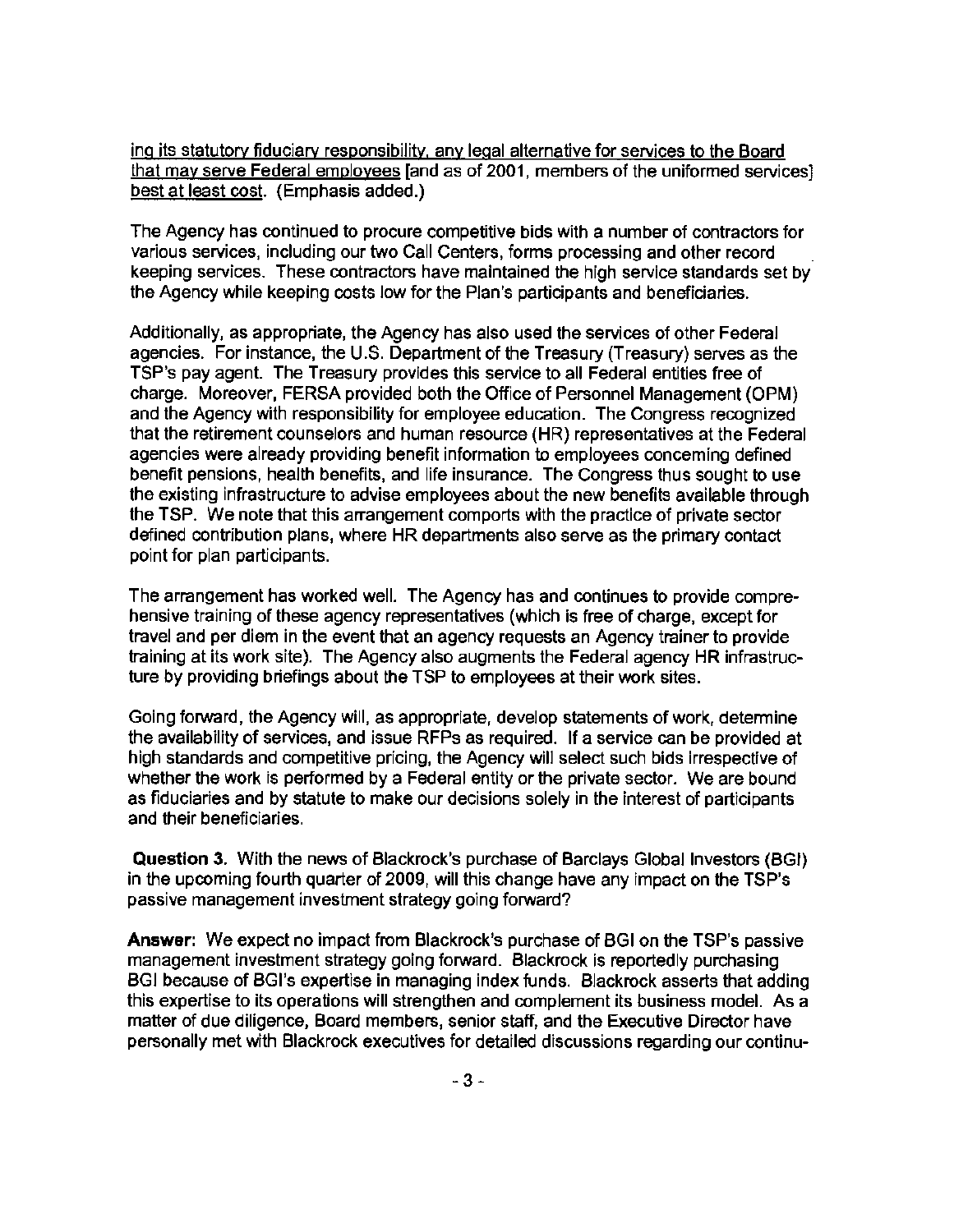inq its statutory fiduciary responsibility. any legal alternative for services to the Board that may serve Federal employees [and as of 2001, members of the uniformed services] best at least cost. (Emphasis added.)

The Agency has continued to procure competitive bids with a number of contractors for various services, including our two Call Centers, forms processing and other record keeping services. These contractors have maintained the high service standards set by the Agency while keeping costs low for the Plan's participants and beneficiaries.

Additionally, as appropriate, the Agency has also used the services of other Federal agencies. For instance, the U.S. Department of the Treasury (Treasury) serves as the TSP's pay agent. The Treasury provides this service to all Federal entities free of charge. Moreover, FERSA provided both the Office of Personnel Management (OPM) and the Agency with responsibility for employee education. The Congress recognized that the retirement counselors and human resource (HR) representatives at the Federal agencies were already providing benefit information to employees concerning defined benefit pensions, health benefits, and life insurance. The Congress thus sought to use the existing infrastructure to advise employees about the new benefits available through the TSP. We note that this arrangement comports with the practice of private sector defined contribution plans, where HR departments also serve as the primary contact point for plan participants.

The arrangement has worked well. The Agency has and continues to provide comprehensive training of these agency representatives (which is free of charge, except for travel and per diem in the event that an agency requests an Agency trainer to provide training at its work site). The Agency also augments the Federal agency HR infrastructure by providing briefings about the TSP to employees at their work sites.

Going forward, the Agency will, as appropriate, develop statements of work, determine the availability of services, and issue RFPs as required. If a service can be provided at high standards and competitive pricing, the Agency will select such bids irrespective of whether the work is performed by a Federal entity or the private sector. We are bound as fiduciaries and by statute to make our decisions solely in the interest of participants and their beneficiaries.

Question 3. With the news of Blackrock's purchase of Barclays Global Investors (BGI) in the upcoming fourth quarter of 2009, will this change have any impact on the TSP's passive management investment strategy going forward?

Answer: We expect no impact from Blackrock's purchase of BGI on the TSP's passive management investment strategy going forward. Blackrock is reportedly purchasing BGI because of BGl's expertise in managing index funds. Blackrock asserts that adding this expertise to its operations will strengthen and complement its business model. As a matter of due diligence, Board members, senior staff, and the Executive Director have personally met with Blackrock executives for detailed discussions regarding our continu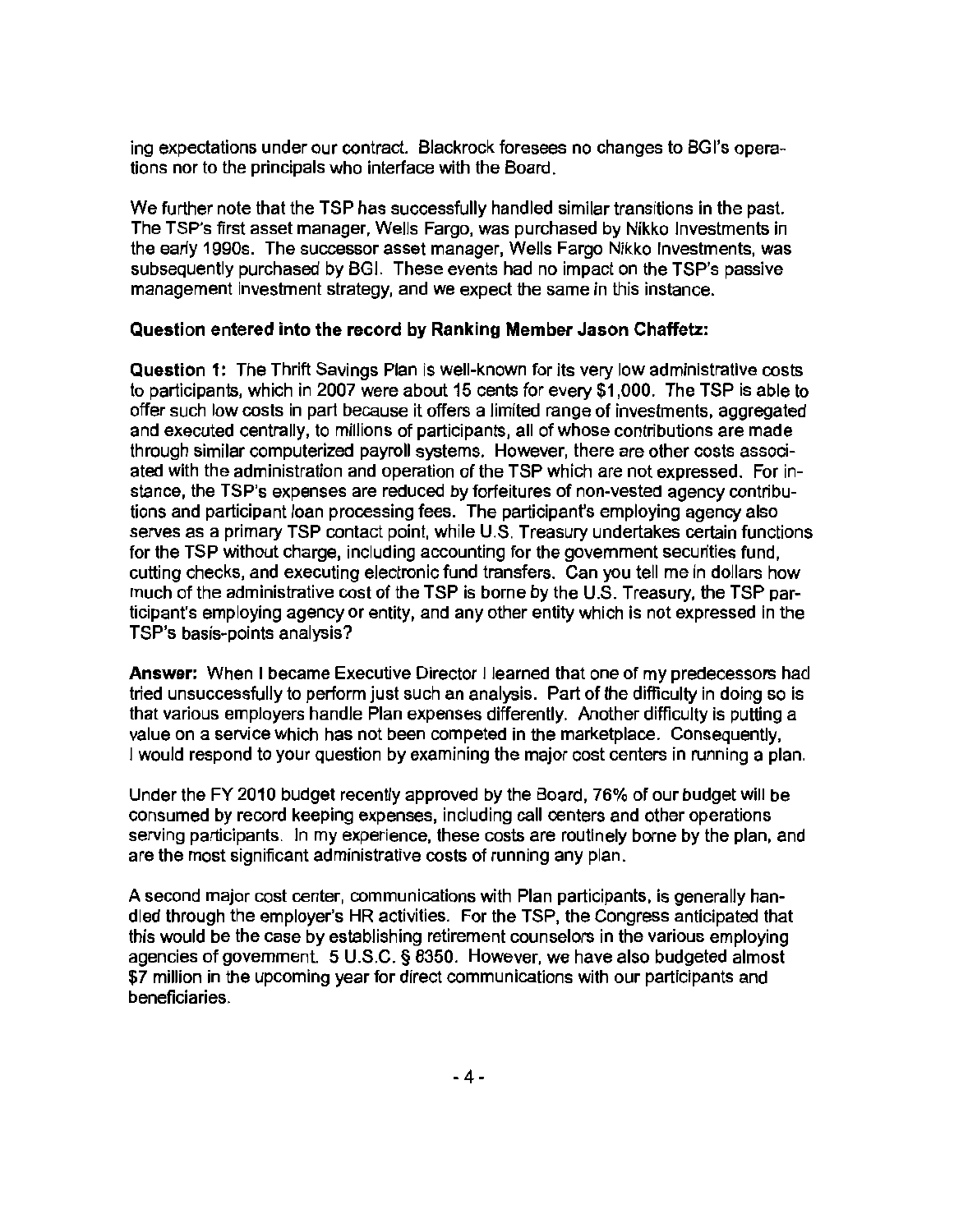ing expectations under our contract. Blackrock foresees no changes to BG l's operations nor to the principals who interface with the Board.

We further note that the TSP has successfully handled similar transitions in the past. The TSP's first asset manager, Wells Fargo, was purchased by Nikko Investments in the early 1990s. The successor asset manager, Wells Fargo Nikko Investments, was subsequently purchased by BGl. These events had no impact on the TSP's passive management investment strategy, and we expect the same in this instance.

### Question entered into the record by Ranking Member Jason Chaffetz:

Question 1: The Thrift Savings Plan is well-known for its very low administrative costs to participants, which in 2007 were about 15 cents for every \$1,000. The TSP is able to offer such low costs in part because it offers a limited range of investments, aggregated and executed centrally, to millions of participants, all of whose contributions are made through similar computerized payroll systems. However, there are other costs associated with the administration and operation of the TSP which are not expressed. For instance, the TSP's expenses are reduced by forfeitures of non-vested agency contributions and participant loan processing fees. The participant's employing agency also serves as a primary TSP contact point, while U.S. Treasury undertakes certain functions for the TSP without charge, including accounting for the government securities fund, cutting checks, and executing electronic fund transfers. Can you tell me in dollars how much of the administrative cost of the TSP is borne by the U.S. Treasury, the TSP participant's employing agency or entity, and any other entity which is not expressed in the TSP's basis-points analysis?

Answer: When I became Executive Director I learned that one of my predecessors had tried unsuccessfully to perform just such an analysis. Part of the difficulty in doing so is that various employers handle Plan expenses differently. Another difficulty is putting a value on a service which has not been competed in the marketplace. Consequently, I would respond to your question by examining the major cost centers in running a plan.

Under the FY 2010 budget recently approved by the Board, 76% of our budget will be consumed by record keeping expenses, including call centers and other operations serving participants. In my experience, these costs are routinely borne by the plan, and are the most significant administrative costs of running any plan.

A second major cost center, communications with Plan participants, is generally handled through the employer's HR activities. For the TSP, the Congress anticipated that this would be the case by establishing retirement counselors in the various employing agencies of government. 5 U.S.C. § 8350. However, we have also budgeted almost \$7 million in the upcoming year for direct communications with our participants and beneficiaries.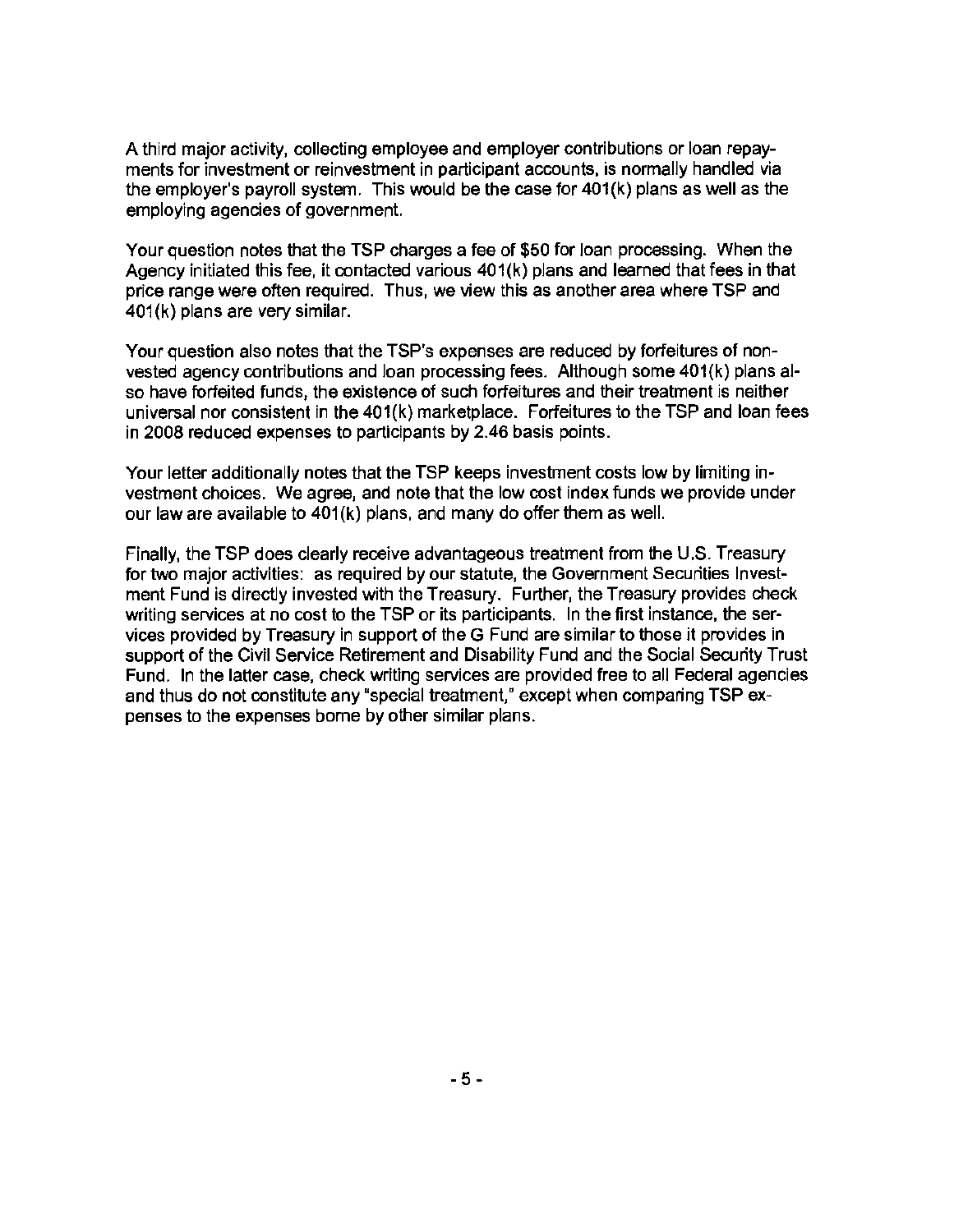A third major activity, collecting employee and employer contributions or loan repayments for investment or reinvestment in participant accounts, is normally handled via the employer's payroll system. This would be the case for 401(k) plans as well as the employing agencies of government.

Your question notes that the TSP charges a fee of \$50 for loan processing. When the Agency initiated this fee, it contacted various 401(k) plans and learned that fees in that price range were often required. Thus, we view this as another area where TSP and 401 (k) plans are very similar.

Your question also notes that the TSP's expenses are reduced by forfeitures of nonvested agency contributions and loan processing fees. Although some 401(k) plans also have forfeited funds, the existence of such forfeitures and their treatment is neither universal nor consistent in the 401(k) marketplace. Forfeitures to the TSP and loan fees in 2008 reduced expenses to participants by 2.46 basis points.

Your letter additionally notes that the TSP keeps investment costs low by limiting investment choices. We agree, and note that the low cost index funds we provide under our law are available to 401(k) plans, and many do offer them as well.

Finally, the TSP does clearly receive advantageous treatment from the U.S. Treasury for two major activities: as required by our statute, the Government Securities Investment Fund is directly invested with the Treasury. Further, the Treasury provides check writing services at no cost to the TSP or its participants. In the first instance, the services provided by Treasury in support of the G Fund are similar to those it provides in support of the Civil Service Retirement and Disability Fund and the Social Security Trust Fund. In the latter case, check writing services are provided free to all Federal agencies and thus do not constitute any "special treatment," except when comparing TSP expenses to the expenses borne by other similar plans.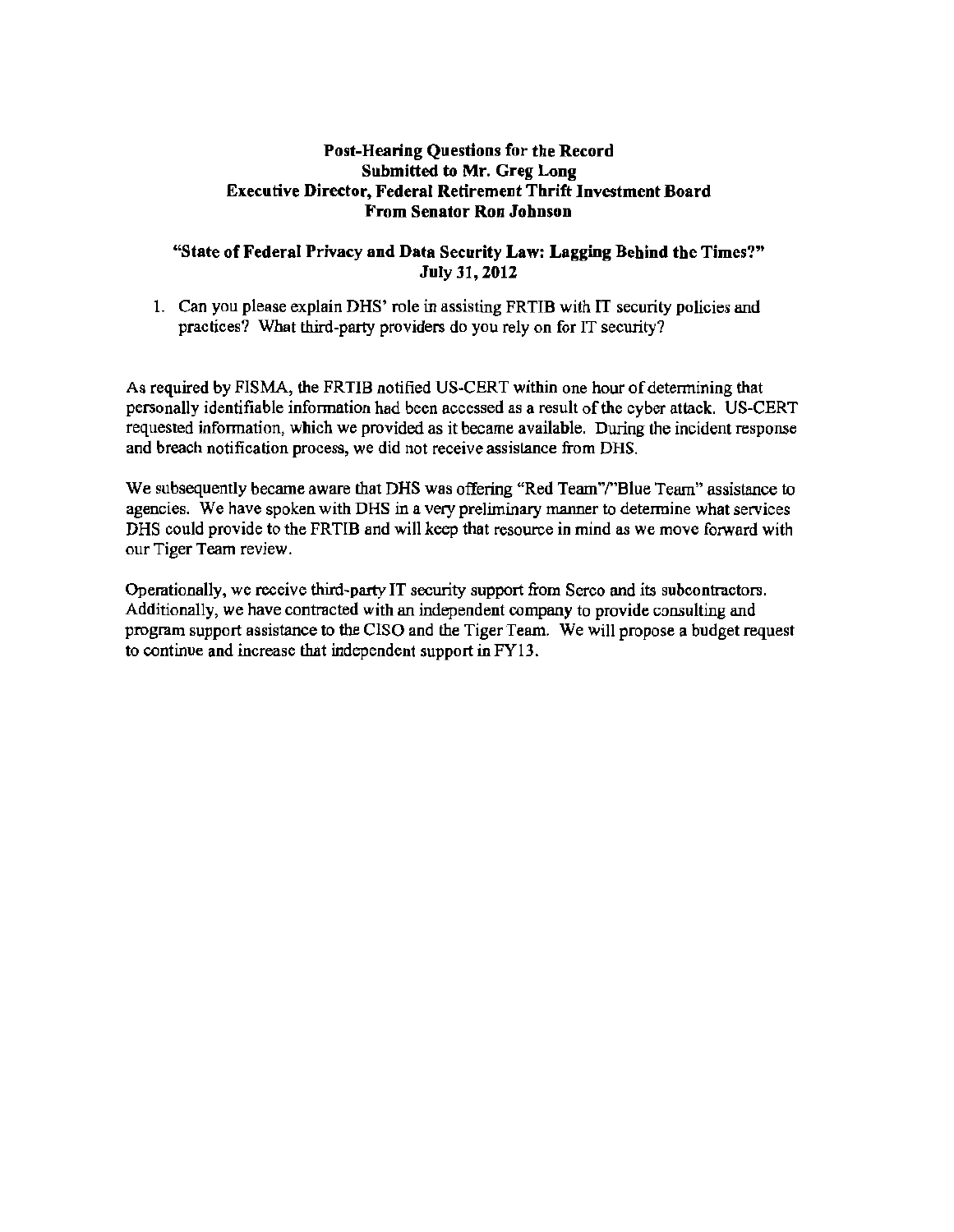#### Post-Hearing Questions for the Record Submitted to Mr. Greg Long Executive Director, Federal Retirement Thrift Investment Board From Senator Ron Johnson

#### "State of Federal Privacy and Data Security Law: Lagging Behind the Times?" July 31, 2012

1. Can you please explain DHS' role in assisting FRTIB with IT security policies and practices? What third-party providers do you rely on for IT security?

As required by FISMA, the FRTIB notified US-CERT within one hour of detennining that personally identifiable information had been accessed as a result of the cyber attack. US-CERT requested information, which we provided as it became available. During the incident response and breach notification process, we did not receive assistance from DHS.

We subsequently became aware that DHS was offering "Red Team"/"Blue Team" assistance to agencies. We have spoken with OHS in a very preliminary manner to determine what services DHS could provide to the FRTIB and will keep that resource in mind *as* we move forward with our Tiger Team review.

Operationally, we receive third-party IT security support from Serco and its subcontractors. Additionally, we have contracted with an independent company to provide consulting and program support assistance to the CISO and the Tiger Team. We will propose a budget request to continue and increase that independent support in FY13.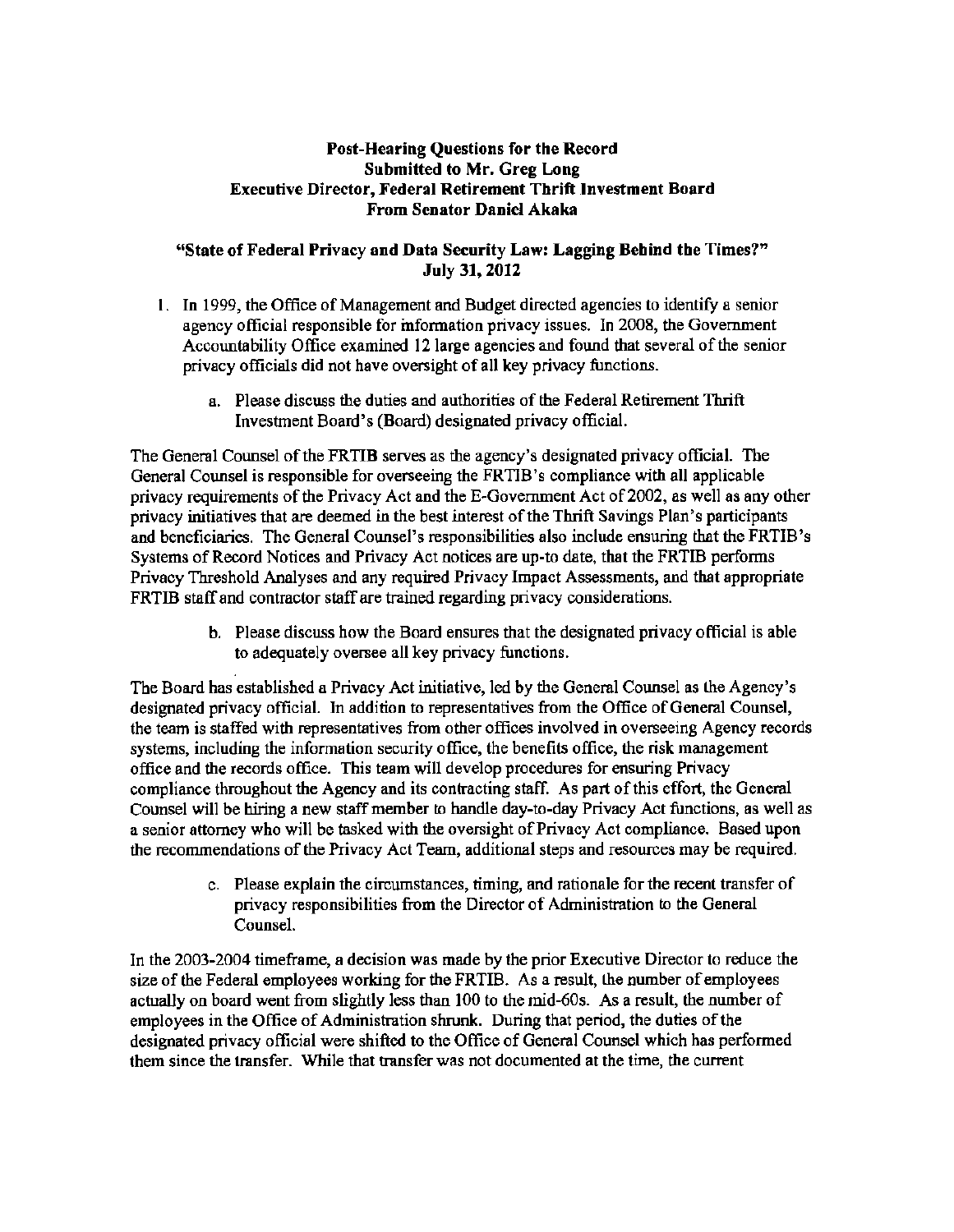#### Post-Hearing Questions for the Record Submitted to Mr. Greg Long Executive Director, Federal Retirement Thrift Investment Board From Senator Daniel Akaka

#### "State of Federal Privacy and Data Security Law: Lagging Behind the Times?" July 31, 2012

- 1. In 1999, the Office of Management and Budget directed agencies to identify a senior agency official responsible for information privacy issues. In 2008, the Government Accountability Office examined 12 large agencies and found that several of the senior privacy officials did not have oversight of all key privacy functions.
	- a. Please discuss the duties and authorities of the Federal Retirement Thrift Investment Board's (Board) designated privacy official.

The General Counsel of the FRTIB serves as the agency's designated privacy official. The General Counsel is responsible for overseeing the FRTIB's compliance with all applicable privacy requirements of the Privacy Act and the E-Govemment Act of 2002, as well as any other privacy initiatives that are deemed in the best interest of the Thrift Savings Plan's participants and beneficiaries. The General Counsel's responsibilities also include ensuring that the FRTIB's Systems of Record Notices and Privacy Act notices are up-to date, that the FRTIB performs Privacy Threshold Analyses and any required Privacy Impact Assessments, and that appropriate FRTIB staff and contractor staff are trained regarding privacy considerations.

> b. Please discuss how the Board ensures that the designated privacy official is able to adequately oversee all key privacy functions.

The Board has established a Privacy Act initiative, led by the General Counsel as the Agency's designated privacy official. In addition to representatives from the Office of General Counsel, the team is staffed with representatives from other offices involved in overseeing Agency records systems, including the information security office, the benefits office, the risk management office and the records office. This team will develop procedures for ensuring Privacy compliance throughout the Agency and its contracting staff. As part of this effort, the General Counsel will be hiring a new staff member to handle day-to-day Privacy Act functions, as well as a senior attorney who will be tasked with the oversight of Privacy Act compliance. Based upon the recommendations of the Privacy Act Team, additional steps and resources may be required.

> c. Please explain the circumstances, timing, and rationale for the recent transfer of privacy responsibilities from the Director of Administration to the General Counsel.

In the 2003-2004 timeframe, a decision was made by the prior Executive Director to reduce the size of the Federal employees working for the FRTIB. As a result, the number of employees actually on board went from slightly less than 100 to the mid-60s. As a result, the number of employees in the Office of Administration shrunk. During that period, the duties of the designated privacy official were shifted to the Office of General Counsel which has performed them since the transfer. While that transfer was not documented at the time, the current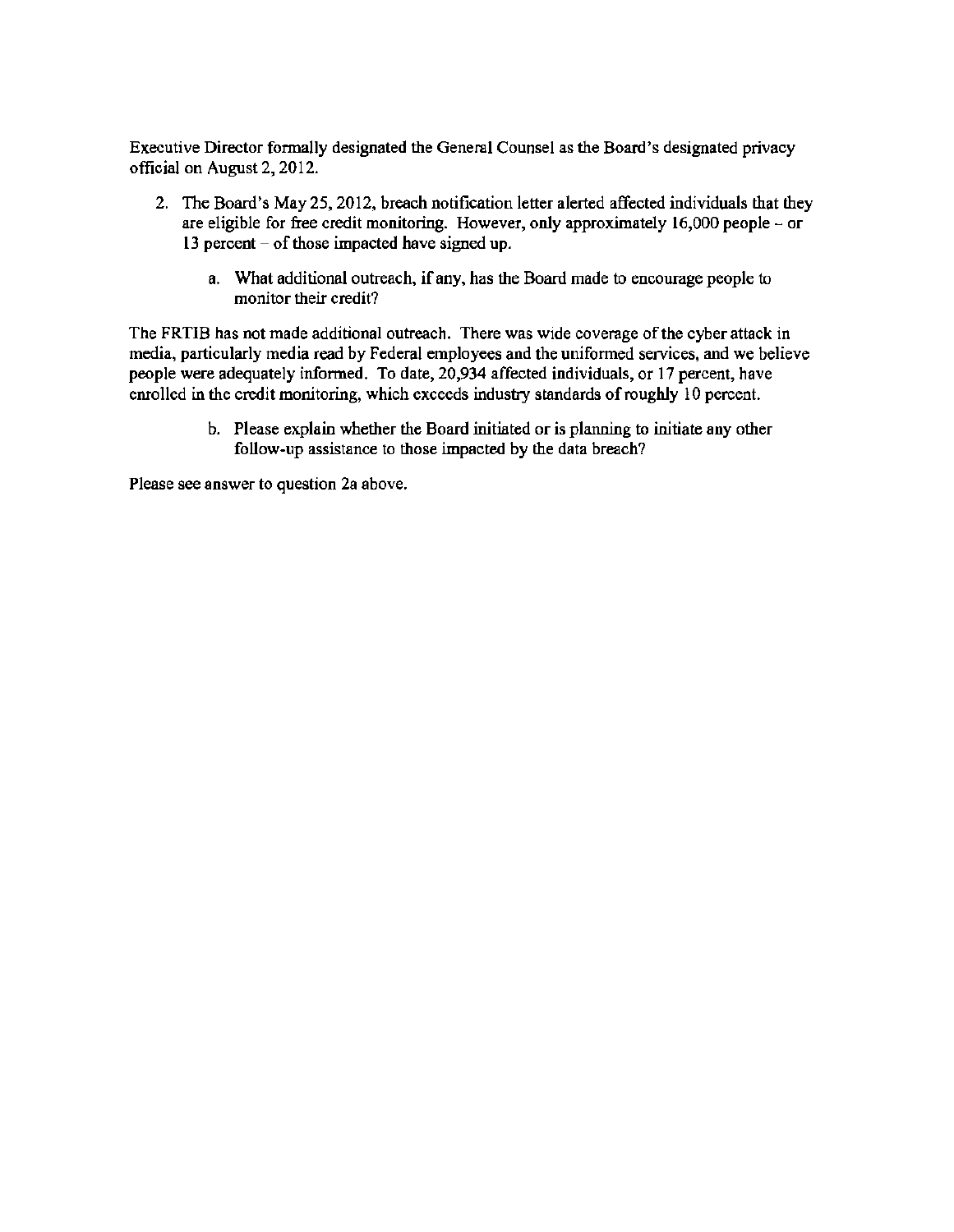Executive Director formally designated the General Counsel as the Board's designated privacy official on August 2, 2012.

- 2. The Board's May 25, 2012, breach notification letter alerted affected individuals that they are eligible for free credit monitoring. However, only approximately 16,000 people - or l3 percent - of those impacted have signed up.
	- a. What additional outreach, if any, has the Board made to encourage people to monitor their credit?

The FRTIB has not made additional outreach. There was wide coverage of the cyber attack in media, particularly media read by Federal employees and the uniformed services, and we believe people were adequately informed. To date, 20,934 affected individuals, or 17 percent, have enrolled in the credit monitoring, which exceeds industry standards of roughly 10 percent.

> b. Please explain whether the Board initiated or is planning to initiate any other follow-up assistance to those impacted by the data breach?

Please see answer to question 2a above.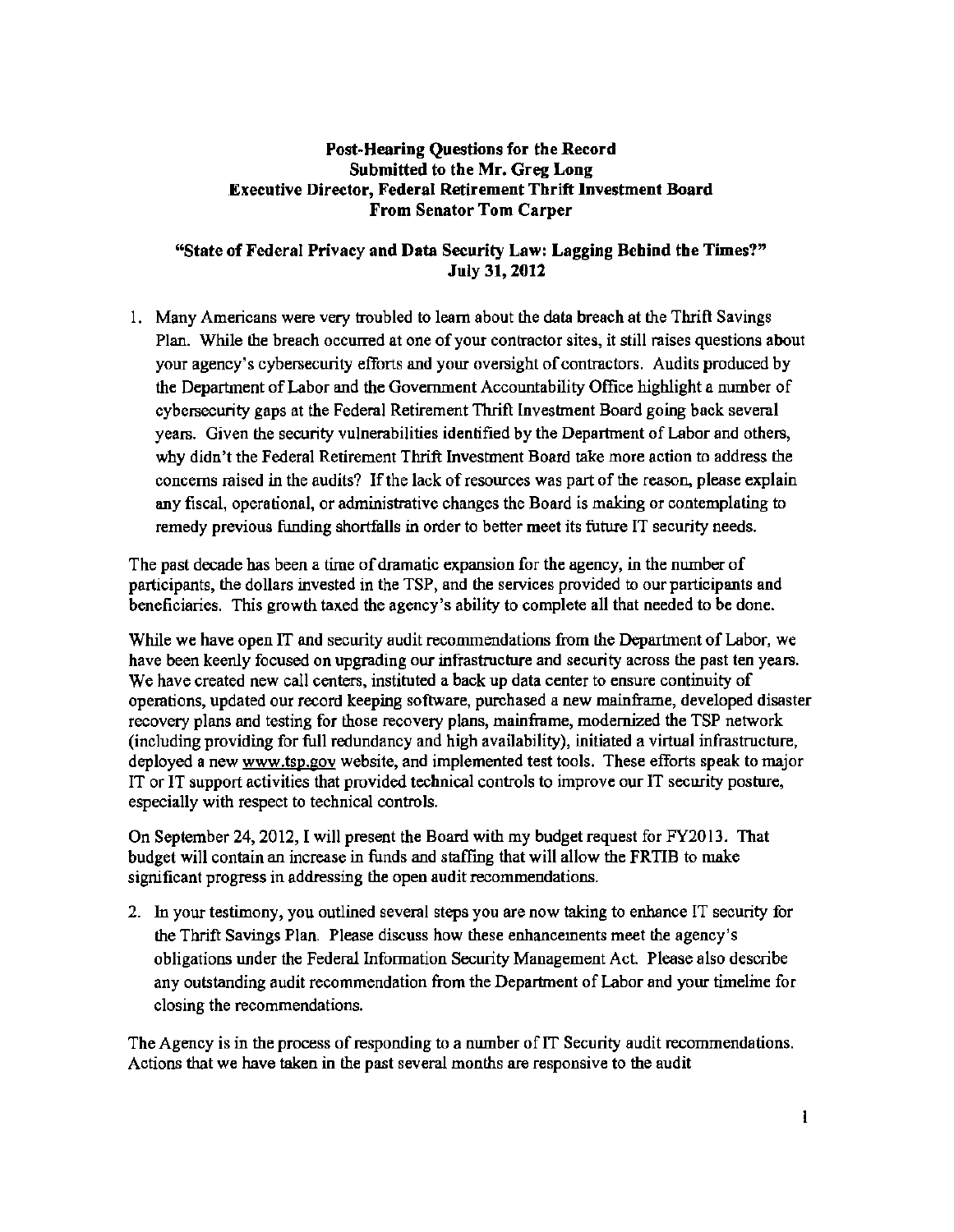#### Post-Hearing Questions for the Record Submitted to the Mr. Greg Long .Executive Director, Federal Retirement Thrift Investment Board From Senator Tom Carper

"State of Federal Privacy and Data Security Law: Lagging Behind the Times?" July 31, 2012

1. Many Americans were very troubled to learn about the data breach at the Thrift Savings Plan. While the breach occurred at one of your contractor sites, it still raises questions about your agency's cybersecurity efforts and your oversight of contractors. Audits produced by the Department of Labor and the Government Accountability Office highlight a number of cybersecurity gaps at the Federal Retirement Thrift Investment Board going back several years. Given the security vulnerabilities identified by the Department of Labor and others, why didn't the Federal Retirement Thrift Investment Board take more action to address the concerns raised in the audits? If the lack of resources was part of the reason, please explain any fiscal, operational, or administrative changes the Board is making or contemplating to remedy previous funding shortfalls in order to better meet its future IT security needs.

The past decade has been a time of dramatic expansion for the agency, in the number of participants, the dollars invested in the TSP, and the services provided to our participants and beneficiaries. This growth taxed the agency's ability to complete all that needed to be done.

While we have open IT and security audit recommendations from the Department of Labor, we have been keenly focused on upgrading our infrastructure and security across the past ten years. We have created new call centers, instituted a back up data center to ensure continuity of operations, updated our record keeping software, purchased a new mainframe, developed disaster recovery plans and testing for those recovery plans, mainframe, modernized the TSP network (including providing for full redundancy and high availability), initiated a virtual infrastructure, deployed a new www.tsp.gov website, and implemented test tools. These efforts speak to major IT or IT support activities that provided technical controls to improve our IT security posture, especially with respect to technical controls.

On September 24, 2012, I will present the Board with my budget request for FY2013. That budget will contain an increase in funds and staffing that will allow the FRTIB to make significant progress in addressing the open audit recommendations.

2. In your testimony, you outlined several steps you are now taking to enhance IT security for the Thrift Savings Plan. Please discuss how these enhancements meet the agency's obligations under the Federal Information Security Management Act. Please also describe any outstanding audit recommendation from the Department of Labor and your timeline for closing the recommendations.

The Agency is in the process of responding to a number of IT Security audit recommendations. Actions that we have taken in the past several months are responsive to the audit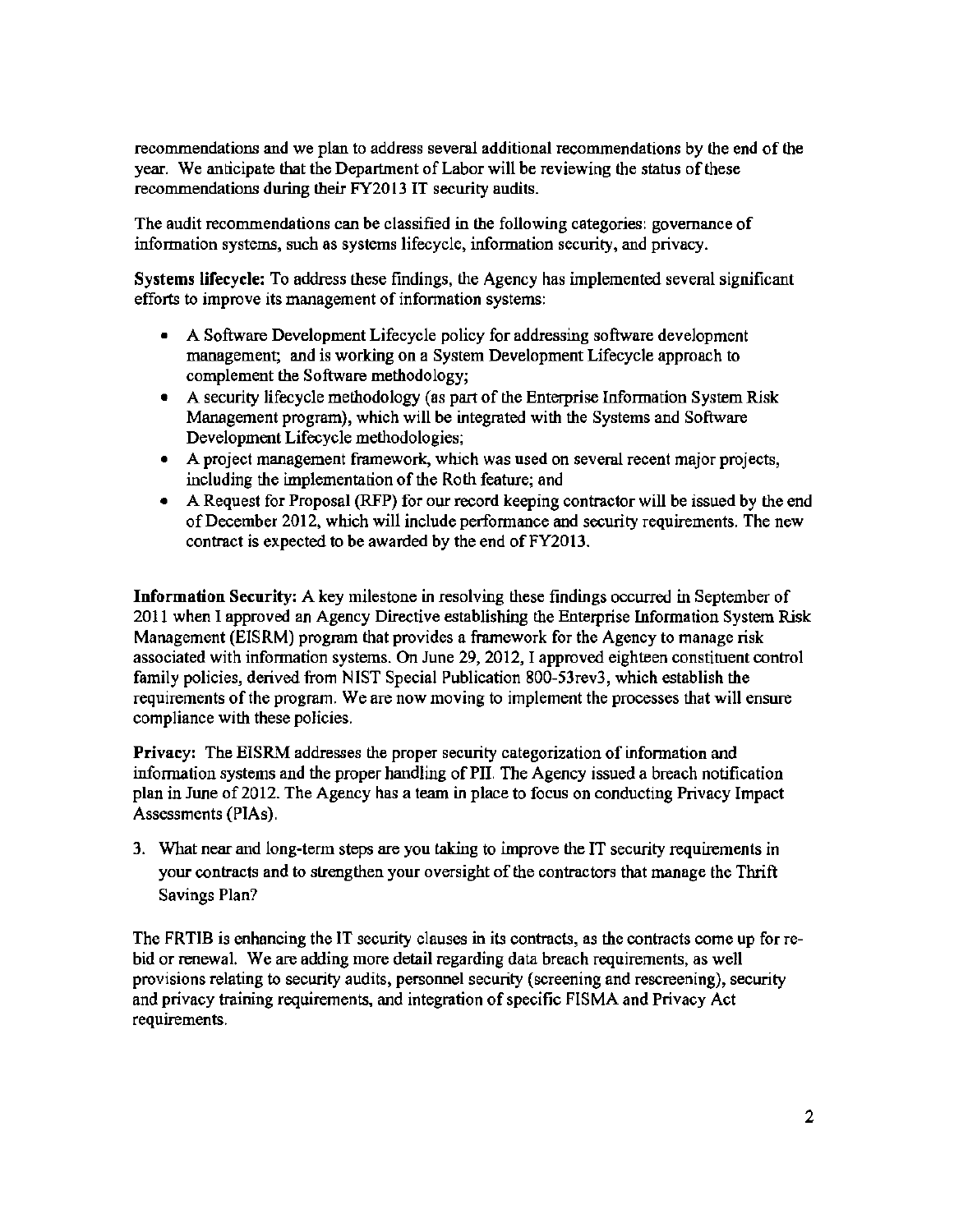recommendations and we plan to address several additional recommendations by the end of the year. We anticipate that the Department of Labor will be reviewing the status of these recommendations during their FY2013 IT security audits.

The audit recommendations can be classified in the following categories: governance of information systems, such as systems lifecycle, information security, and privacy.

Systems lifecycle: To address these findings, the Agency has implemented several significant efforts to improve its management of information systems:

- A Software Development Lifecycle policy for addressing software development management; and is working on a System Development Lifecycle approach to complement the Software methodology;
- A security lifecycle methodology (as part of the Enterprise Information System Risk Management program), which will be integrated with the Systems and Software Development Lifecycle methodologies;
- A project management framework, which was used on several recent major projects, including the implementation of the Roth feature; and
- A Request for Proposal (RFP) for our record keeping contractor will be issued by the end of December 2012, which will include performance and security requirements. The new contract is expected to be awarded by the end of FY2013.

Information Security: A key milestone in resolving these findings occurred in September of 2011 when I approved an Agency Directive establishing the Enterprise Information System Risk Management (EISRM) program that provides a framework for the Agency to manage risk associated with information systems. On June 29, 2012, I approved eighteen constituent control family policies, derived from NIST Special Publication 800-53rev3, which establish the requirements of the program. We are now moving to implement the processes that will ensure compliance with these policies.

Privacy: The EISRM addresses the proper security categorization of information and information systems and the proper handling of PII. The Agency issued a breach notification plan in June of2012. The Agency has a team in place to focus on conducting Privacy Impact Assessments (PIAs).

3. What near and long-term steps are you taking to improve the IT security requirements in your contracts and to strengthen your oversight of the contractors that manage the Thrift Savings Plan?

The FRTIB is enhancing the IT security clauses in its contracts, as the contracts come up for rebid or renewal. We are adding more detail regarding data breach requirements, as well provisions relating to security audits, personnel security (screening and rescreening), security and privacy training requirements, and integration of specific FISMA and Privacy Act requirements.